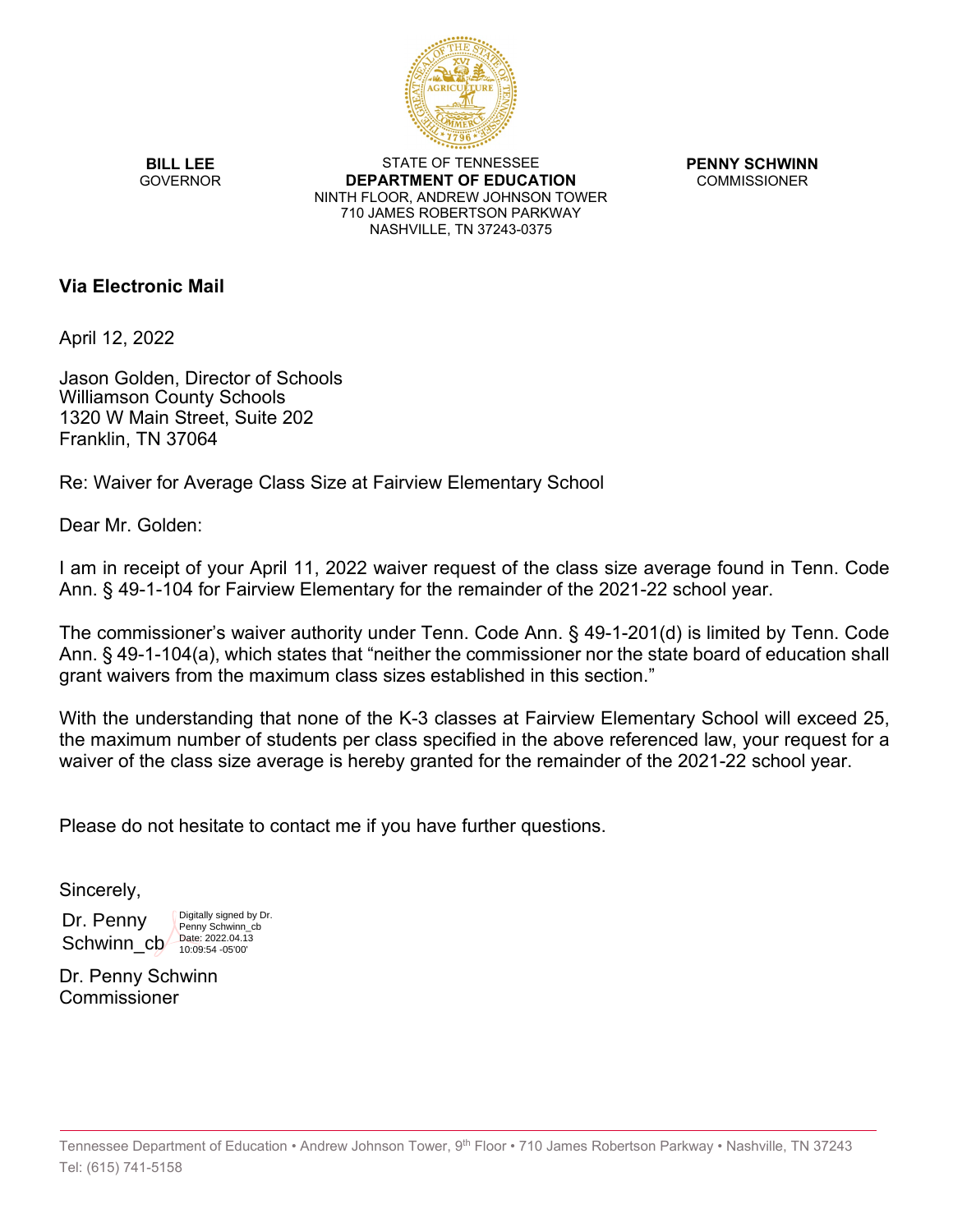

**BILL LEE GOVERNOR** 

STATE OF TENNESSEE **DEPARTMENT OF EDUCATION** NINTH FLOOR, ANDREW JOHNSON TOWER 710 JAMES ROBERTSON PARKWAY NASHVILLE, TN 37243-0375

**PENNY SCHWINN** COMMISSIONER

## **Via Electronic Mail**

April 12, 2022

Jason Golden, Director of Schools Williamson County Schools 1320 W Main Street, Suite 202 Franklin, TN 37064

Re: Waiver for Average Class Size at Fairview Elementary School

Dear Mr. Golden:

I am in receipt of your April 11, 2022 waiver request of the class size average found in Tenn. Code Ann. § 49-1-104 for Fairview Elementary for the remainder of the 2021-22 school year.

The commissioner's waiver authority under Tenn. Code Ann. § 49-1-201(d) is limited by Tenn. Code Ann. § 49-1-104(a), which states that "neither the commissioner nor the state board of education shall grant waivers from the maximum class sizes established in this section."

With the understanding that none of the K-3 classes at Fairview Elementary School will exceed 25, the maximum number of students per class specified in the above referenced law, your request for a waiver of the class size average is hereby granted for the remainder of the 2021-22 school year.

Please do not hesitate to contact me if you have further questions.

Sincerely,

Dr. Penny Schwinn\_cb <u>Date: 2022.04.13</u>

Digitally signed by Dr. Penny Schwinn\_cb<br>Date: 2022.04.13

Dr. Penny Schwinn Commissioner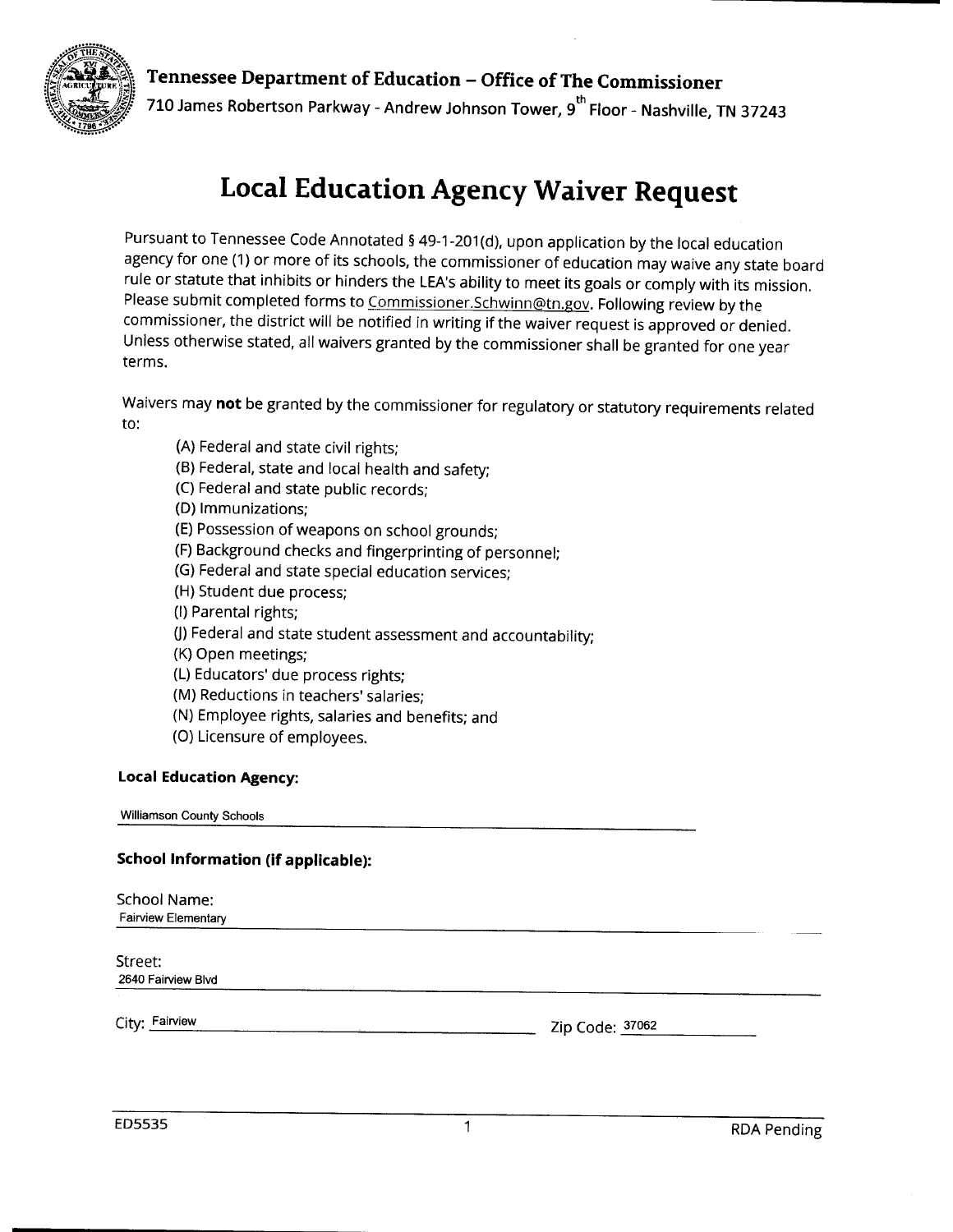



710 James Robertson Parkway - Andrew Johnson Tower, 9<sup>th</sup> Floor - Nashville, TN 37243

# **Local Education Agency Waiver Request**

Pursuant to Tennessee Code Annotated § 49-1-201(d), upon application by the local education agency for one (1) or more of its schools, the commissioner of education may waive any state board rule or statute that inhibits or hinders the LEA's ability to meet its goals or comply with its mission. Please submit completed forms to Commissioner.Schwinn@tn.gov. Following review by the commissioner, the district will be notified in writing if the waiver request is approved or denied. Unless otherwise stated, all waivers granted by the commissioner shall be granted for one year terms.

Waivers may not be granted by the commissioner for regulatory or statutory requirements related to:

- (A) Federal and state civil rights:
- (B) Federal, state and local health and safety;
- (C) Federal and state public records;
- (D) Immunizations:
- (E) Possession of weapons on school grounds;
- (F) Background checks and fingerprinting of personnel;
- (G) Federal and state special education services;
- (H) Student due process:
- (I) Parental rights;
- (J) Federal and state student assessment and accountability;
- (K) Open meetings;
- (L) Educators' due process rights;
- (M) Reductions in teachers' salaries:
- (N) Employee rights, salaries and benefits; and
- (O) Licensure of employees.

#### **Local Education Agency:**

**Williamson County Schools** 

#### **School Information (if applicable):**

School Name: **Fairview Elementary** Street: 2640 Fairview Blvd City: Fairview Zip Code: 37062